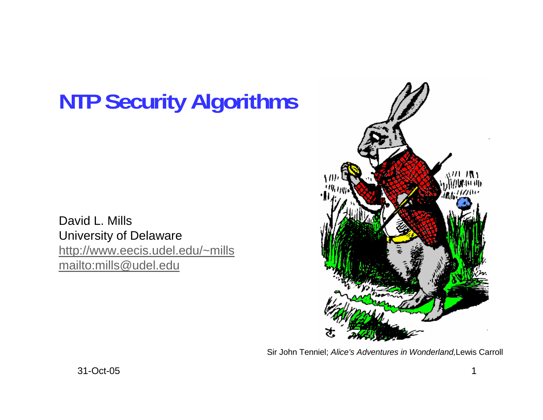# **NTP Security Algorithms**

David L. Mills University of Delaware http://www.eecis.udel.edu/~mills mailto:mills@udel.edu



Sir John Tenniel; *Alice's Adventures in Wonderland,*Lewis Carroll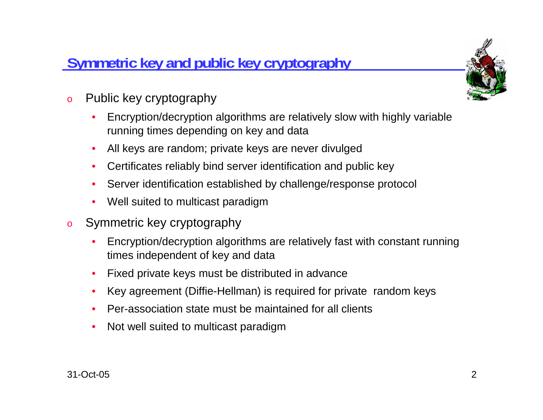# **Symmetric key and public key cryptography**



- o Public key cryptography
	- • Encryption/decryption algorithms are relatively slow with highly variable running times depending on key and data
	- •All keys are random; private keys are never divulged
	- •Certificates reliably bind server identification and public key
	- •Server identification established by challenge/response protocol
	- $\bullet$ Well suited to multicast paradigm
- o Symmetric key cryptography
	- • Encryption/decryption algorithms are relatively fast with constant running times independent of key and data
	- $\bullet$ Fixed private keys must be distributed in advance
	- •Key agreement (Diffie-Hellman) is required for private random keys
	- •Per-association state must be maintained for all clients
	- •Not well suited to multicast paradigm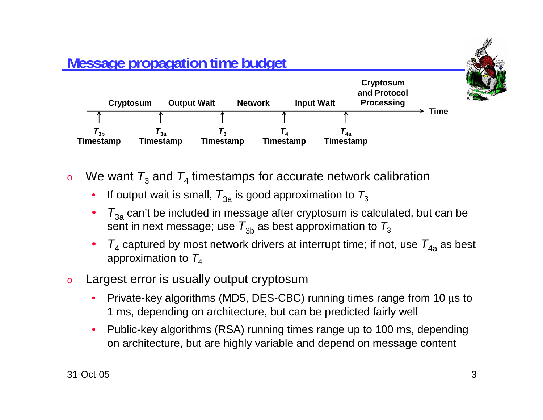

- o $\, \,$  We want  $\, T_{3}$  and  $\, T_{4}$  timestamps for accurate network calibration
	- • $\bullet$  If output wait is small,  $\mathcal{T}_{3\mathsf{a}}$  is good approximation to  $\mathcal{T}_3$
	- • $\bullet$   $\,$   $T_{\rm 3a}$  can't be included in message after cryptosum is calculated, but can be sent in next message; use  $\, T_{3\mathrm{b}}$  as best approximation to  $\, T_{3}$
	- • $\bullet$  *T*<sub>4</sub> captured by most network drivers at interrupt time; if not, use  $T_{4a}$  as best approximation to  $T_4$
- o Largest error is usually output cryptosum
	- • Private-key algorithms (MD5, DES-CBC) running times range from 10 μs to 1 ms, depending on architecture, but can be predicted fairly well
	- • Public-key algorithms (RSA) running times range up to 100 ms, depending on architecture, but are highly variable and depend on message content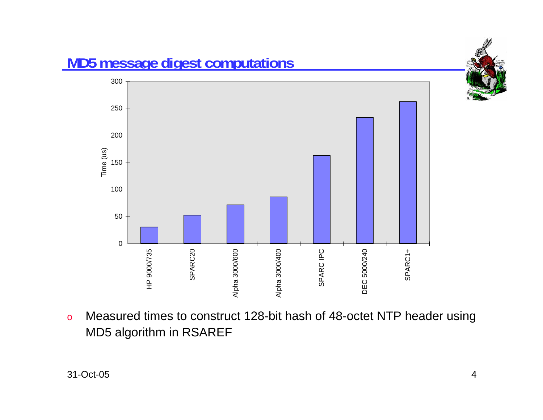

**MD5 message digest computations**

o Measured times to construct 128-bit hash of 48-octet NTP header using MD5 algorithm in RSAREF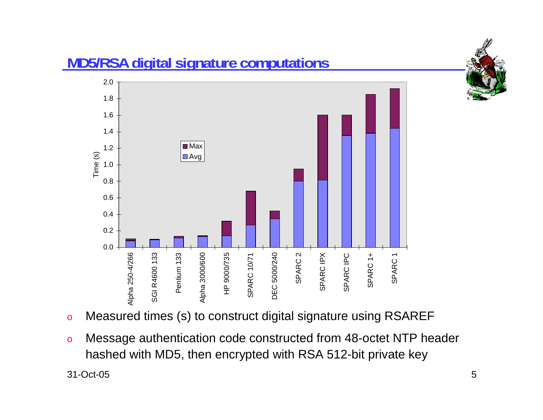

# **MD5/RSA digital signature computations**



- oMeasured times (s) to construct digital signature using RSAREF
- o Message authentication code constructed from 48-octet NTP header hashed with MD5, then encrypted with RSA 512-bit private key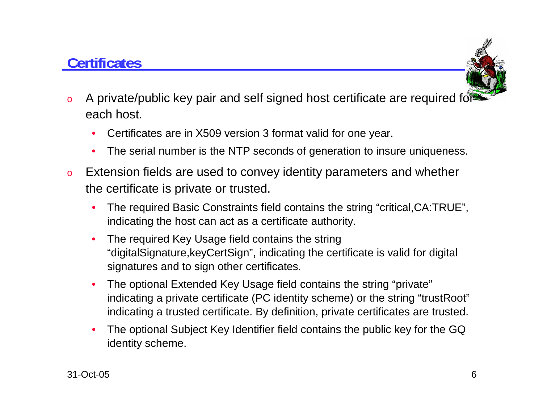# **Certificates**



- o A private/public key pair and self signed host certificate are required for each host.
	- •Certificates are in X509 version 3 format valid for one year.
	- $\bullet$ The serial number is the NTP seconds of generation to insure uniqueness.
- o Extension fields are used to convey identity parameters and whether the certificate is private or trusted.
	- • The required Basic Constraints field contains the string "critical,CA:TRUE", indicating the host can act as a certificate authority.
	- • The required Key Usage field contains the string "digitalSignature,keyCertSign", indicating the certificate is valid for digital signatures and to sign other certificates.
	- • The optional Extended Key Usage field contains the string "private" indicating a private certificate (PC identity scheme) or the string "trustRoot" indicating a trusted certificate. By definition, private certificates are trusted.
	- • The optional Subject Key Identifier field contains the public key for the GQ identity scheme.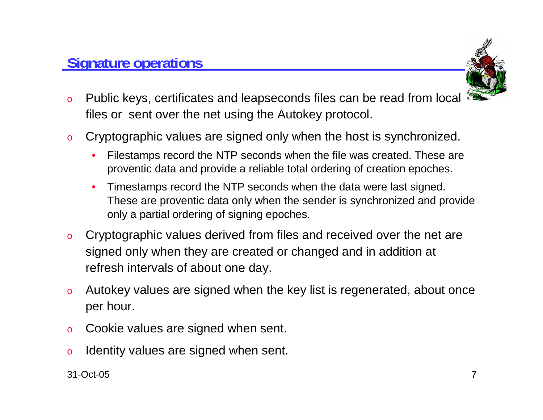#### **Signature operations**



- o Public keys, certificates and leapseconds files can be read from local files or sent over the net using the Autokey protocol.
- o Cryptographic values are signed only when the host is synchronized.
	- • Filestamps record the NTP seconds when the file was created. These are proventic data and provide a reliable total ordering of creation epoches.
	- • Timestamps record the NTP seconds when the data were last signed. These are proventic data only when the sender is synchronized and provide only a partial ordering of signing epoches.
- o Cryptographic values derived from files and received over the net are signed only when they are created or changed and in addition at refresh intervals of about one day.
- o Autokey values are signed when the key list is regenerated, about once per hour.
- oCookie values are signed when sent.
- oIdentity values are signed when sent.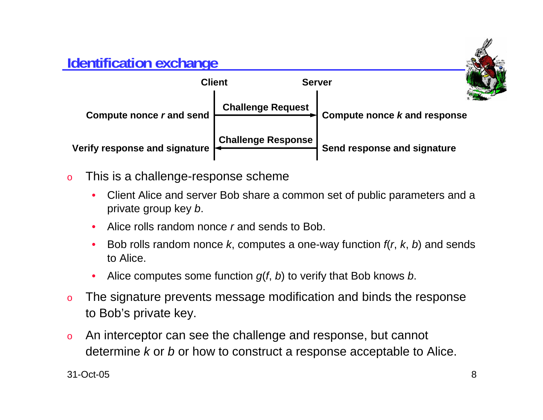#### **Identification exchange**



- o This is a challenge-response scheme
	- • Client Alice and server Bob share a common set of public parameters and a private group key *b*.
	- •Alice rolls random nonce *r* and sends to Bob.
	- • Bob rolls random nonce *k*, computes a one-way function *f*(*<sup>r</sup>*, *k*, *b*) and sends to Alice.
	- •Alice computes some function *g*(*f*, *b*) to verify that Bob knows *b*.
- o The signature prevents message modification and binds the response to Bob's private key.
- o An interceptor can see the challenge and response, but cannot determine *k* or *b* or how to construct a response acceptable to Alice.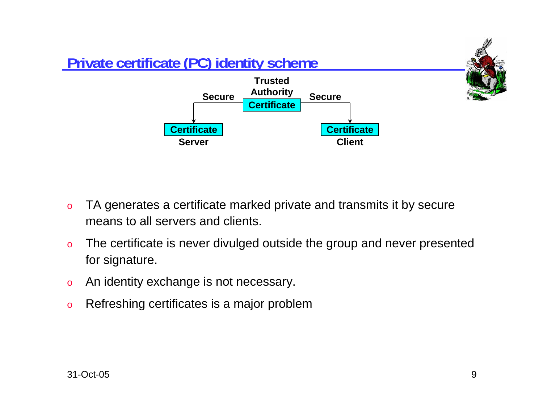

- o TA generates a certificate marked private and transmits it by secure means to all servers and clients.
- o The certificate is never divulged outside the group and never presented for signature.
- oAn identity exchange is not necessary.
- oRefreshing certificates is a major problem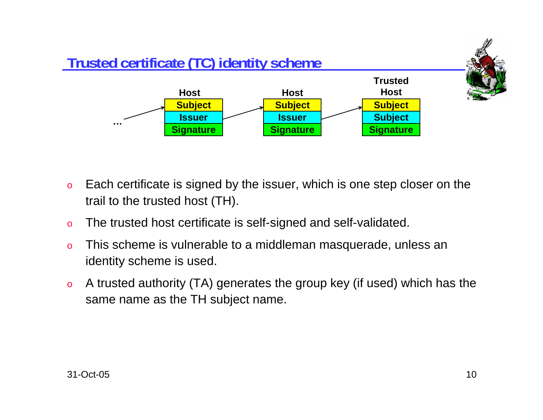

- o Each certificate is signed by the issuer, which is one step closer on the trail to the trusted host (TH).
- oThe trusted host certificate is self-signed and self-validated.
- o This scheme is vulnerable to a middleman masquerade, unless an identity scheme is used.
- o A trusted authority (TA) generates the group key (if used) which has the same name as the TH subject name.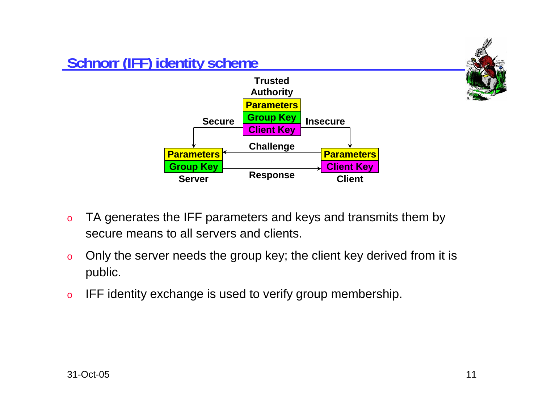

- o TA generates the IFF parameters and keys and transmits them by secure means to all servers and clients.
- o Only the server needs the group key; the client key derived from it is public.
- oIFF identity exchange is used to verify group membership.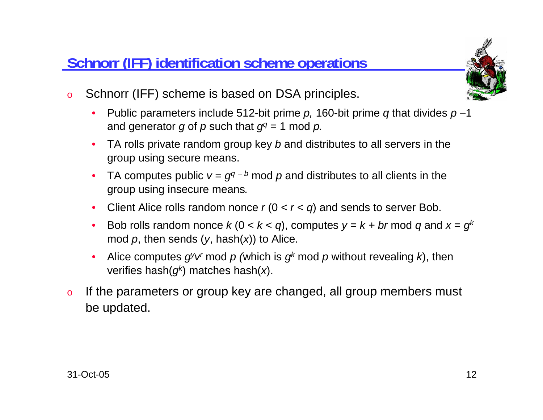#### **Schnorr (IFF) identification scheme operations**



- o Schnorr (IFF) scheme is based on DSA principles.
	- • Public parameters include 512-bit prime *p,* 160-bit prime *q* that divides *p* −1 and generator *g* of *p* such that  $q^q = 1$  mod *p*.
	- TA rolls private random group key *b* and distributes to all servers in the group using secure means.
	- •TA computes public  $v = g^{q-b}$  mod p and distributes to all clients in the group using insecure means*.*
	- Client Alice rolls random nonce *<sup>r</sup>* (0 < *<sup>r</sup>* <sup>&</sup>lt;*q*) and sends to server Bob.
	- •Bob rolls random nonce  $k$  (0 <  $k$  <  $q$ ), computes  $y = k + br$  mod  $q$  and  $x = g^k$ mod *p*, then sends (*y*, hash(*x*)) to Alice.
	- • Alice computes *gyvr* mod *p (*which is *gk* mod *p* without revealing *k*), then verifies hash(*gk*) matches hash(*x*).
- o If the parameters or group key are changed, all group members must be updated.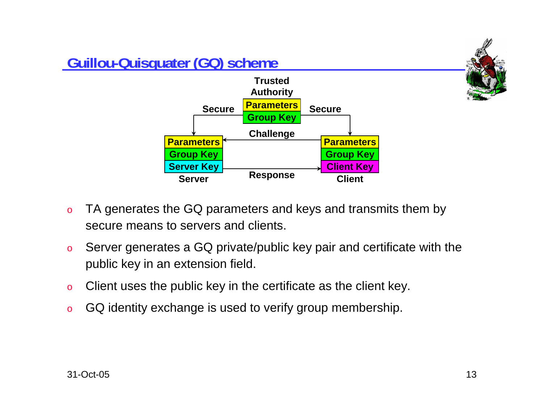

- o TA generates the GQ parameters and keys and transmits them by secure means to servers and clients.
- o Server generates a GQ private/public key pair and certificate with the public key in an extension field.
- oClient uses the public key in the certificate as the client key.
- oGQ identity exchange is used to verify group membership.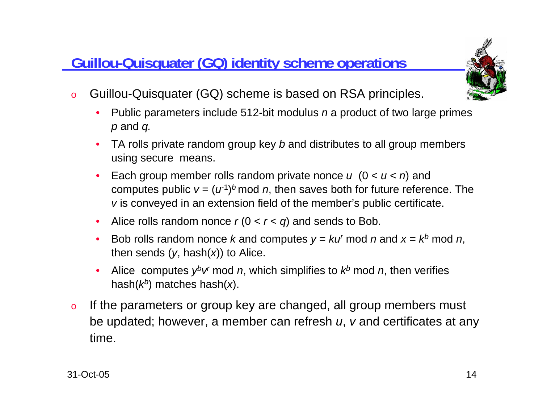## **<u>Guillou-Quisquater (GQ) identity scheme operations</u></u>**



- o Guillou-Quisquater (GQ) scheme is based on RSA principles.
	- • Public parameters include 512-bit modulus *<sup>n</sup>* a product of two large primes *p* and *q.*
	- TA rolls private random group key *b* and distributes to all group members using secure means.
	- • Each group member rolls random private nonce *<sup>u</sup>* (0 < *<sup>u</sup>* <sup>&</sup>lt;*<sup>n</sup>*) and computes public  $v = (u^1)^b$  mod *n*, then saves both for future reference. The *v* is conveyed in an extension field of the member's public certificate.
	- Alice rolls random nonce *<sup>r</sup>* (0 < *<sup>r</sup>* <sup>&</sup>lt;*q*) and sends to Bob.
	- Bob rolls random nonce *k* and computes  $y = k u^r \text{ mod } n$  and  $x = k^b \text{ mod } n$ , then sends  $(y, \text{hash}(x))$  to Alice.
	- •Alice computes  $y^b v^r$  mod *n*, which simplifies to  $k^b$  mod *n*, then verifies hash(*kb*) matches hash(*x*).
- o If the parameters or group key are changed, all group members must be updated; however, a member can refresh *<sup>u</sup>*, *<sup>v</sup>* and certificates at any time.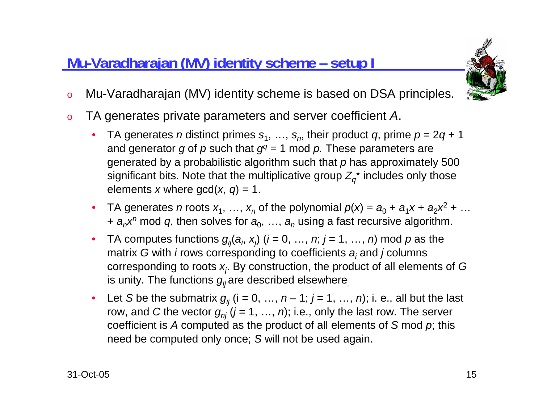# **Mu-Varadharajan (MV) identity scheme – setup I**



- oMu-Varadharajan (MV) identity scheme is based on DSA principles.
- o TA generates private parameters and server coefficient *A*.
	- TA generates *n* distinct primes  $s_1, ..., s_n$ , their product *q*, prime  $p = 2q + 1$ and generator *g* of *p* such that  $g<sup>q</sup> = 1$  mod *p*. These parameters are generated by a probabilistic algorithm such that *p* has approximately 500 significant bits. Note that the multiplicative group  $Z_q^*$  includes only those elements *x* where gcd(*<sup>x</sup>*, *q*) = 1.
	- TA generates *n* roots  $x_1, ..., x_n$  of the polynomial  $p(x) = a_0 + a_1x + a_2x^2 + ...$ <sup>+</sup>*anxn* mod *q*, then solves for *a*0, …, *an* using a fast recursive algorithm.
	- •TA computes functions  $g_{ij}(a_i, x_j)$  ( $i = 0, ..., n; j = 1, ..., n$ ) mod  $p$  as the matrix *G* with *i* rows corresponding to coefficients *ai* and *j* columns corresponding to roots *xj*. By construction, the product of all elements of *<sup>G</sup>* is unity. The functions *gij* are described elsewhere*.*
	- •• Let *S* be the submatrix  $g_{ij}$  (i = 0, …, n – 1; j = 1, …, n); i. e., all but the last row, and *C* the vector  $g_{ni}$  ( $j = 1, ..., n$ ); i.e., only the last row. The server coefficient is *A* computed as the product of all elements of *S* mod *p*; this need be computed only once; *S* will not be used again.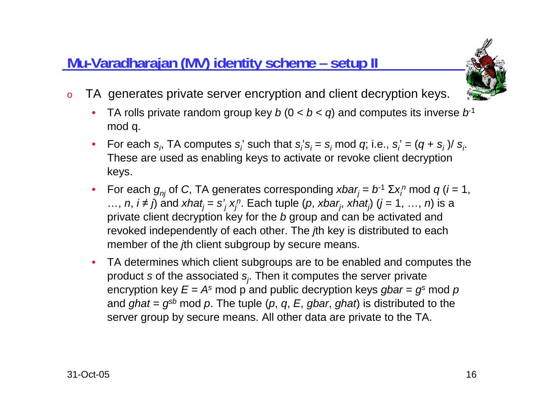## **Mu-Varadharajan (MV) identity scheme – setup II**



- o TA generates private server encryption and client decryption keys.
	- •TA rolls private random group key  $b(0 < b < q)$  and computes its inverse  $b<sup>1</sup>$ mod q.
	- For each  $s_i$ , TA computes  $s_i$ ' such that  $s_i$ ' $s_i = s_i$  mod  $q$ ; i.e.,  $s_i' = (q + s_i) / s_i$ . These are used as enabling keys to activate or revoke client decryption keys.
	- For each  $g_{nj}$  of *C*, TA generates corresponding  $xbar_j = b^{-1} \Sigma x_i^n \mod q$  (*i* = 1, …, *n*,  $i \neq j$  and  $xhat_j = s'_j x_j^n$ . Each tuple (*p*,  $xbar_j$ ,  $xhat_j$ ) ( $j = 1, ..., n$ ) is a private client decryption key for the *b* group and can be activated and revoked independently of each other. The *j*th key is distributed to each member of the *j*th client subgroup by secure means.
	- $\bullet$  TA determines which client subgroups are to be enabled and computes the product *<sup>s</sup>* of the associated *sj*. Then it computes the server private encryption key  $E = A^s$  mod p and public decryption keys *gbar* =  $g^s$  mod p and *ghat* <sup>=</sup>*gs<sup>b</sup>* mod *p*. The tuple (*p*, *q*, *E*, *gbar*, *ghat*) is distributed to the server group by secure means. All other data are private to the TA.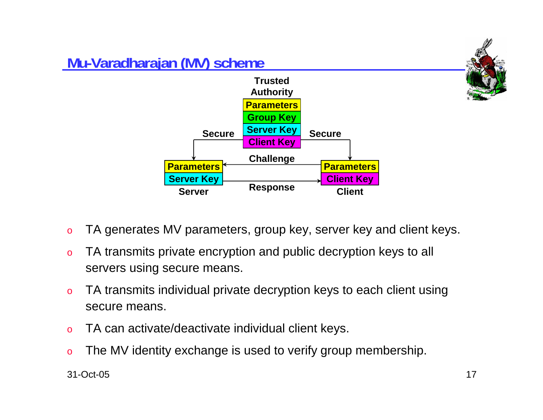

- oTA generates MV parameters, group key, server key and client keys.
- o TA transmits private encryption and public decryption keys to all servers using secure means.
- o TA transmits individual private decryption keys to each client using secure means.
- oTA can activate/deactivate individual client keys.
- oThe MV identity exchange is used to verify group membership.

31-Oct-05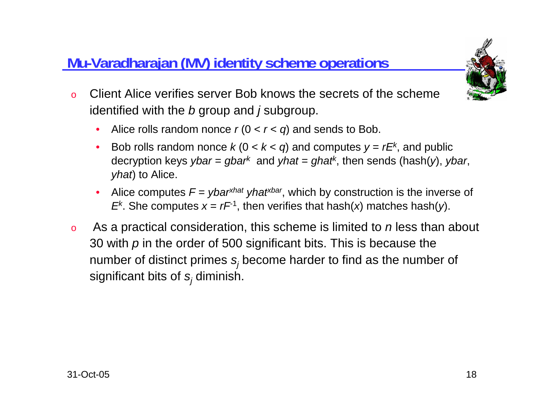### **Mu-Varadharajan (MV) identity scheme operations**



- o Client Alice verifies server Bob knows the secrets of the scheme identified with the *b* group and *j* subgroup.
	- $\bullet$ Alice rolls random nonce  $r(0 < r < q)$  and sends to Bob.
	- Bob rolls random nonce  $k$  (0 <  $k$  <  $q$ ) and computes  $y = rE<sup>k</sup>$ , and public decryption keys *ybar* <sup>=</sup>*gbark* and *yhat* <sup>=</sup>*ghatk*, then sends (hash(*y*), *ybar*, *yhat*) to Alice.
	- •Alice computes  $F = ybar^{rhat}$  *yhat<sup>xhat</sup> yhat<sup>xbar</sup>*, which by construction is the inverse of *E*<sup>k</sup>. She computes  $x = rF^{-1}$ , then verifies that hash(*x*) matches hash(*y*).
- o As a practical consideration, this scheme is limited to *<sup>n</sup>* less than about 30 with *p* in the order of 500 significant bits. This is because the number of distinct primes *sj* become harder to find as the number of significant bits of *sj* diminish.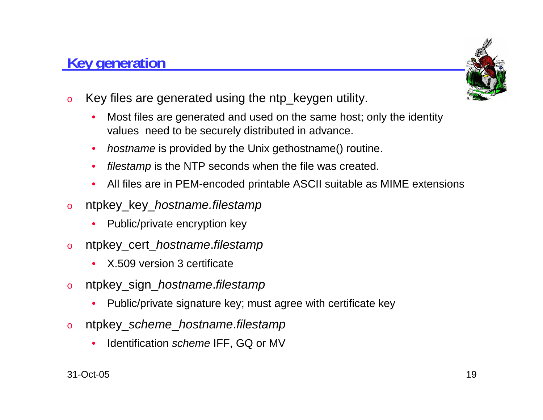#### **Key generation**



- o Key files are generated using the ntp\_keygen utility.
	- • Most files are generated and used on the same host; only the identity values need to be securely distributed in advance.
	- •*hostname* is provided by the Unix gethostname() routine.
	- •*filestamp* is the NTP seconds when the file was created.
	- •All files are in PEM-encoded printable ASCII suitable as MIME extensions
- o ntpkey\_key\_*hostname.filestamp*
	- •Public/private encryption key
- o ntpkey\_cert\_*hostname*.*filestamp*
	- •X.509 version 3 certificate
- o ntpkey\_sign\_*hostname*.*filestamp*
	- •Public/private signature key; must agree with certificate key
- o ntpkey\_*scheme*\_*hostname*.*filestamp*
	- •**•** Identification *scheme* IFF, GQ or MV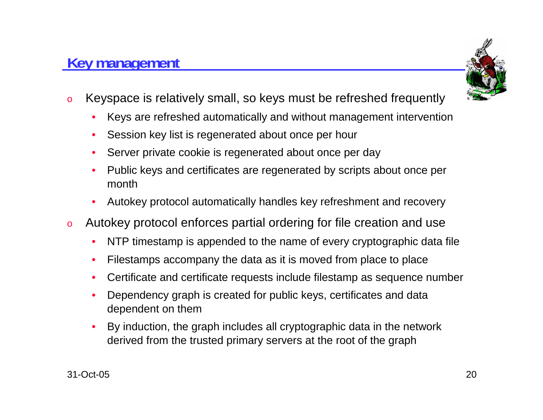#### 31-Oct-05

#### • By induction, the graph includes all cryptographic data in the network derived from the trusted primary servers at the root of the graph

- •Dependency graph is created for public keys, certificates and data
- •Filestamps accompany the data as it is moved from place to place

Certificate and certificate requests include filestamp as sequence number

- Autokey protocol enforces partial ordering for file creation and use •NTP timestamp is appended to the name of every cryptographic data file
- • Public keys and certificates are regenerated by scripts about once per month

Autokey protocol automatically handles key refreshment and recovery

- •Session key list is regenerated about once per hour
- 

Server private cookie is regenerated about once per day

- o Keyspace is relatively small, so keys must be refreshed frequently
	- •Keys are refreshed automatically and without management intervention
- 

dependent on them

**Key management**

•

•

•

o